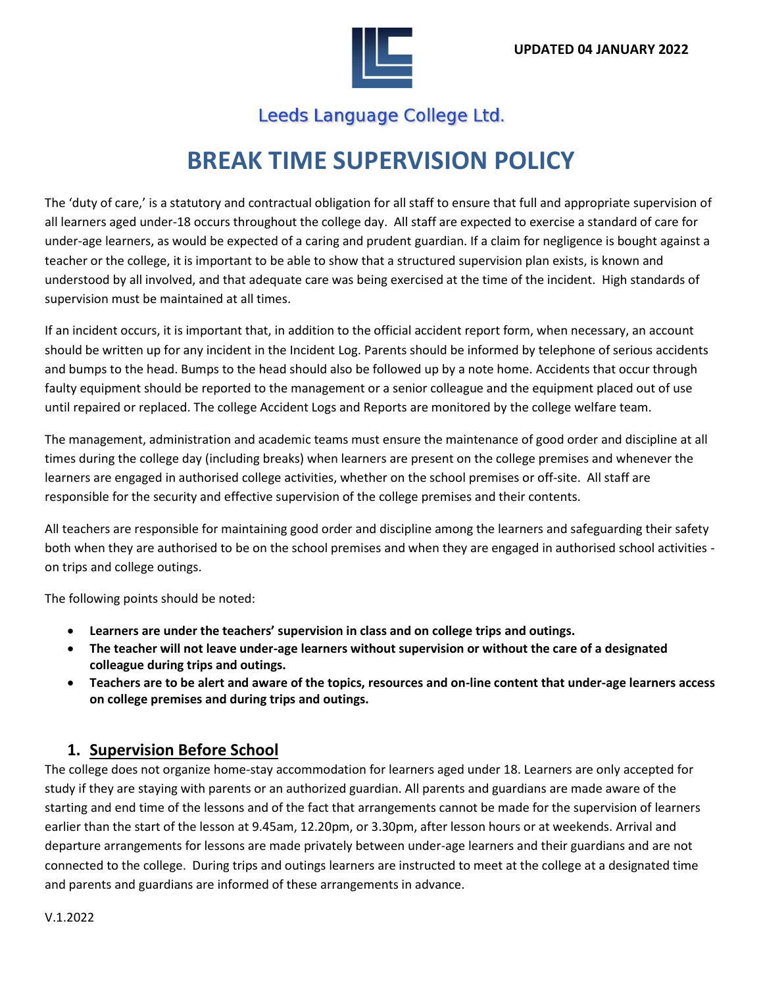

## Leeds Language College Ltd.

# **BREAK TIME SUPERVISION POLICY**

The 'duty of care,' is a statutory and contractual obligation for all staff to ensure that full and appropriate supervision of all learners aged under-18 occurs throughout the college day. All staff are expected to exercise a standard of care for under-age learners, as would be expected of a caring and prudent guardian. If a claim for negligence is bought against a teacher or the college, it is important to be able to show that a structured supervision plan exists, is known and understood by all involved, and that adequate care was being exercised at the time of the incident. High standards of supervision must be maintained at all times.

If an incident occurs, it is important that, in addition to the official accident report form, when necessary, an account should be written up for any incident in the Incident Log. Parents should be informed by telephone of serious accidents and bumps to the head. Bumps to the head should also be followed up by a note home. Accidents that occur through faulty equipment should be reported to the management or a senior colleague and the equipment placed out of use until repaired or replaced. The college Accident Logs and Reports are monitored by the college welfare team.

The management, administration and academic teams must ensure the maintenance of good order and discipline at all times during the college day (including breaks) when learners are present on the college premises and whenever the learners are engaged in authorised college activities, whether on the school premises or off-site. All staff are responsible for the security and effective supervision of the college premises and their contents.

All teachers are responsible for maintaining good order and discipline among the learners and safeguarding their safety both when they are authorised to be on the school premises and when they are engaged in authorised school activities on trips and college outings.

The following points should be noted:

- **Learners are under the teachers' supervision in class and on college trips and outings.**
- **The teacher will not leave under-age learners without supervision or without the care of a designated colleague during trips and outings.**
- **Teachers are to be alert and aware of the topics, resources and on-line content that under-age learners access on college premises and during trips and outings.**

#### **1. Supervision Before School**

The college does not organize home-stay accommodation for learners aged under 18. Learners are only accepted for study if they are staying with parents or an authorized guardian. All parents and guardians are made aware of the starting and end time of the lessons and of the fact that arrangements cannot be made for the supervision of learners earlier than the start of the lesson at 9.45am, 12.20pm, or 3.30pm, after lesson hours or at weekends. Arrival and departure arrangements for lessons are made privately between under-age learners and their guardians and are not connected to the college. During trips and outings learners are instructed to meet at the college at a designated time and parents and guardians are informed of these arrangements in advance.